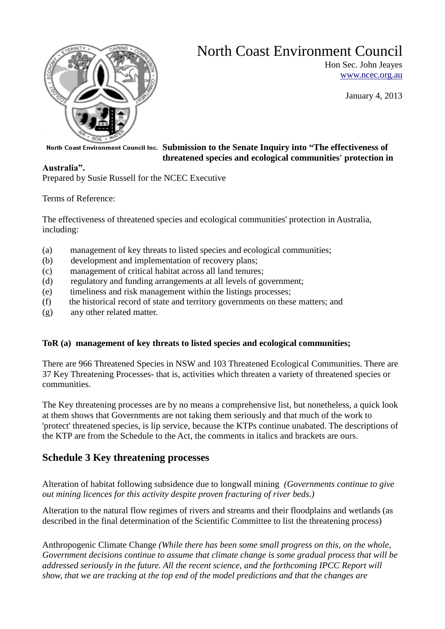

# North Coast Environment Council

Hon Sec. John Jeayes [www.ncec.org.au](http://www.ncec.org.au/)

January 4, 2013

## **Submission to the Senate Inquiry into "The effectiveness of threatened species and ecological communities' protection in**

# **Australia".**

Prepared by Susie Russell for the NCEC Executive

Terms of Reference:

The effectiveness of threatened species and ecological communities' protection in Australia, including:

- (a) management of key threats to listed species and ecological communities;
- (b) development and implementation of recovery plans;
- (c) management of critical habitat across all land tenures;
- (d) regulatory and funding arrangements at all levels of government;
- (e) timeliness and risk management within the listings processes;
- (f) the historical record of state and territory governments on these matters; and
- (g) any other related matter.

# **ToR (a) management of key threats to listed species and ecological communities;**

There are 966 Threatened Species in NSW and 103 Threatened Ecological Communities. There are 37 Key Threatening Processes- that is, activities which threaten a variety of threatened species or communities.

The Key threatening processes are by no means a comprehensive list, but nonetheless, a quick look at them shows that Governments are not taking them seriously and that much of the work to 'protect' threatened species, is lip service, because the KTPs continue unabated. The descriptions of the KTP are from the Schedule to the Act, the comments in italics and brackets are ours.

# **Schedule 3 Key threatening processes**

Alteration of habitat following subsidence due to longwall mining *(Governments continue to give out mining licences for this activity despite proven fracturing of river beds.)*

Alteration to the natural flow regimes of rivers and streams and their floodplains and wetlands (as described in the final determination of the Scientific Committee to list the threatening process)

Anthropogenic Climate Change *(While there has been some small progress on this, on the whole, Government decisions continue to assume that climate change is some gradual process that will be addressed seriously in the future. All the recent science, and the forthcoming IPCC Report will show, that we are tracking at the top end of the model predictions and that the changes are*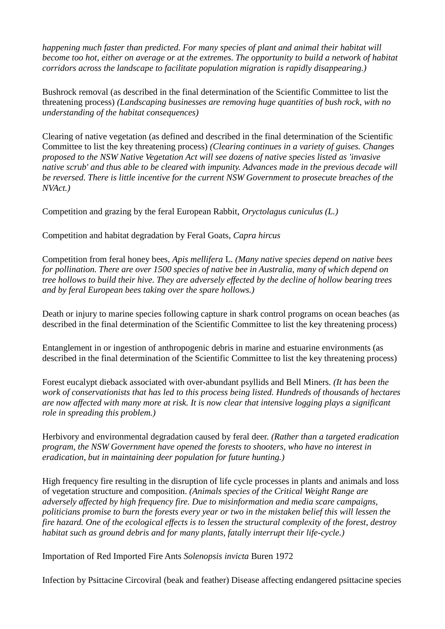*happening much faster than predicted. For many species of plant and animal their habitat will become too hot, either on average or at the extremes. The opportunity to build a network of habitat corridors across the landscape to facilitate population migration is rapidly disappearing.)*

Bushrock removal (as described in the final determination of the Scientific Committee to list the threatening process) *(Landscaping businesses are removing huge quantities of bush rock, with no understanding of the habitat consequences)*

Clearing of native vegetation (as defined and described in the final determination of the Scientific Committee to list the key threatening process) *(Clearing continues in a variety of guises. Changes proposed to the NSW Native Vegetation Act will see dozens of native species listed as 'invasive native scrub' and thus able to be cleared with impunity. Advances made in the previous decade will be reversed. There is little incentive for the current NSW Government to prosecute breaches of the NVAct.)*

Competition and grazing by the feral European Rabbit, *Oryctolagus cuniculus (L.)* 

Competition and habitat degradation by Feral Goats, *Capra hircus* 

Competition from feral honey bees, *Apis mellifera* L. *(Many native species depend on native bees for pollination. There are over 1500 species of native bee in Australia, many of which depend on tree hollows to build their hive. They are adversely effected by the decline of hollow bearing trees and by feral European bees taking over the spare hollows.)*

Death or injury to marine species following capture in shark control programs on ocean beaches (as described in the final determination of the Scientific Committee to list the key threatening process)

Entanglement in or ingestion of anthropogenic debris in marine and estuarine environments (as described in the final determination of the Scientific Committee to list the key threatening process)

Forest eucalypt dieback associated with over-abundant psyllids and Bell Miners. *(It has been the work of conservationists that has led to this process being listed. Hundreds of thousands of hectares are now affected with many more at risk. It is now clear that intensive logging plays a significant role in spreading this problem.)*

Herbivory and environmental degradation caused by feral deer. *(Rather than a targeted eradication program, the NSW Government have opened the forests to shooters, who have no interest in eradication, but in maintaining deer population for future hunting.)*

High frequency fire resulting in the disruption of life cycle processes in plants and animals and loss of vegetation structure and composition. *(Animals species of the Critical Weight Range are adversely affected by high frequency fire. Due to misinformation and media scare campaigns, politicians promise to burn the forests every year or two in the mistaken belief this will lessen the fire hazard. One of the ecological effects is to lessen the structural complexity of the forest, destroy habitat such as ground debris and for many plants, fatally interrupt their life-cycle.)*

Importation of Red Imported Fire Ants *Solenopsis invicta* Buren 1972

Infection by Psittacine Circoviral (beak and feather) Disease affecting endangered psittacine species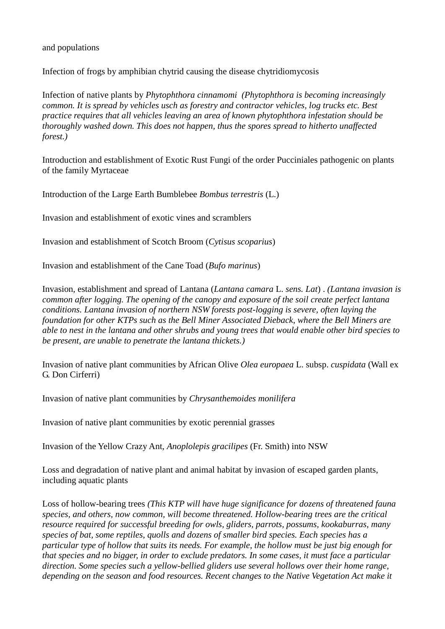and populations

Infection of frogs by amphibian chytrid causing the disease chytridiomycosis

Infection of native plants by *Phytophthora cinnamomi (Phytophthora is becoming increasingly common. It is spread by vehicles usch as forestry and contractor vehicles, log trucks etc. Best practice requires that all vehicles leaving an area of known phytophthora infestation should be thoroughly washed down. This does not happen, thus the spores spread to hitherto unaffected forest.)*

Introduction and establishment of Exotic Rust Fungi of the order Pucciniales pathogenic on plants of the family Myrtaceae

Introduction of the Large Earth Bumblebee *Bombus terrestris* (L.)

Invasion and establishment of exotic vines and scramblers

Invasion and establishment of Scotch Broom (*Cytisus scoparius*)

Invasion and establishment of the Cane Toad (*Bufo marinus*)

Invasion, establishment and spread of Lantana (*Lantana camara* L. *sens. Lat*) . *(Lantana invasion is common after logging. The opening of the canopy and exposure of the soil create perfect lantana conditions. Lantana invasion of northern NSW forests post-logging is severe, often laying the foundation for other KTPs such as the Bell Miner Associated Dieback, where the Bell Miners are able to nest in the lantana and other shrubs and young trees that would enable other bird species to be present, are unable to penetrate the lantana thickets.)*

Invasion of native plant communities by African Olive *Olea europaea* L. subsp. *cuspidata* (Wall ex G. Don Cirferri)

Invasion of native plant communities by *Chrysanthemoides monilifera* 

Invasion of native plant communities by exotic perennial grasses

Invasion of the Yellow Crazy Ant, *Anoplolepis gracilipes* (Fr. Smith) into NSW

Loss and degradation of native plant and animal habitat by invasion of escaped garden plants, including aquatic plants

Loss of hollow-bearing trees *(This KTP will have huge significance for dozens of threatened fauna species, and others, now common, will become threatened. Hollow-bearing trees are the critical resource required for successful breeding for owls, gliders, parrots, possums, kookaburras, many species of bat, some reptiles, quolls and dozens of smaller bird species. Each species has a particular type of hollow that suits its needs. For example, the hollow must be just big enough for that species and no bigger, in order to exclude predators. In some cases, it must face a particular direction. Some species such a yellow-bellied gliders use several hollows over their home range, depending on the season and food resources. Recent changes to the Native Vegetation Act make it*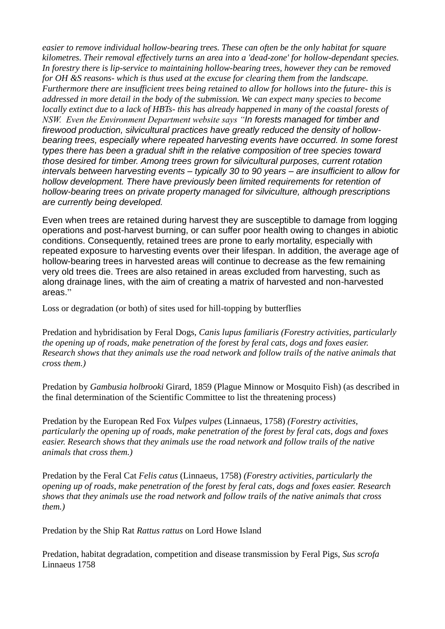*easier to remove individual hollow-bearing trees. These can often be the only habitat for square kilometres. Their removal effectively turns an area into a 'dead-zone' for hollow-dependant species. In forestry there is lip-service to maintaining hollow-bearing trees, however they can be removed for OH &S reasons- which is thus used at the excuse for clearing them from the landscape. Furthermore there are insufficient trees being retained to allow for hollows into the future- this is addressed in more detail in the body of the submission. We can expect many species to become locally extinct due to a lack of HBTs- this has already happened in many of the coastal forests of NSW. Even the Environment Department website says "In forests managed for timber and firewood production, silvicultural practices have greatly reduced the density of hollowbearing trees, especially where repeated harvesting events have occurred. In some forest types there has been a gradual shift in the relative composition of tree species toward those desired for timber. Among trees grown for silvicultural purposes, current rotation intervals between harvesting events – typically 30 to 90 years – are insufficient to allow for hollow development. There have previously been limited requirements for retention of hollow-bearing trees on private property managed for silviculture, although prescriptions are currently being developed.*

Even when trees are retained during harvest they are susceptible to damage from logging operations and post-harvest burning, or can suffer poor health owing to changes in abiotic conditions. Consequently, retained trees are prone to early mortality, especially with repeated exposure to harvesting events over their lifespan. In addition, the average age of hollow-bearing trees in harvested areas will continue to decrease as the few remaining very old trees die. Trees are also retained in areas excluded from harvesting, such as along drainage lines, with the aim of creating a matrix of harvested and non-harvested areas."

Loss or degradation (or both) of sites used for hill-topping by butterflies

Predation and hybridisation by Feral Dogs, *Canis lupus familiaris (Forestry activities, particularly the opening up of roads, make penetration of the forest by feral cats, dogs and foxes easier. Research shows that they animals use the road network and follow trails of the native animals that cross them.)*

Predation by *Gambusia holbrooki* Girard, 1859 (Plague Minnow or Mosquito Fish) (as described in the final determination of the Scientific Committee to list the threatening process)

Predation by the European Red Fox *Vulpes vulpes* (Linnaeus, 1758) *(Forestry activities, particularly the opening up of roads, make penetration of the forest by feral cats, dogs and foxes easier. Research shows that they animals use the road network and follow trails of the native animals that cross them.)*

Predation by the Feral Cat *Felis catus* (Linnaeus, 1758) *(Forestry activities, particularly the opening up of roads, make penetration of the forest by feral cats, dogs and foxes easier. Research shows that they animals use the road network and follow trails of the native animals that cross them.)*

Predation by the Ship Rat *Rattus rattus* on Lord Howe Island

Predation, habitat degradation, competition and disease transmission by Feral Pigs, *Sus scrofa*  Linnaeus 1758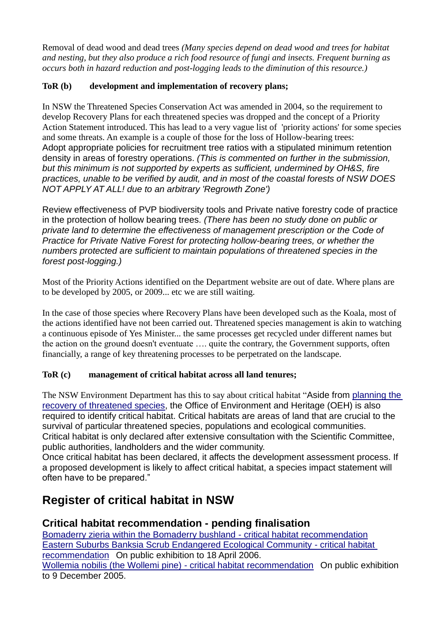Removal of dead wood and dead trees *(Many species depend on dead wood and trees for habitat and nesting, but they also produce a rich food resource of fungi and insects. Frequent burning as occurs both in hazard reduction and post-logging leads to the diminution of this resource.)*

# **ToR (b) development and implementation of recovery plans;**

In NSW the Threatened Species Conservation Act was amended in 2004, so the requirement to develop Recovery Plans for each threatened species was dropped and the concept of a Priority Action Statement introduced. This has lead to a very vague list of 'priority actions' for some species and some threats. An example is a couple of those for the loss of Hollow-bearing trees: Adopt appropriate policies for recruitment tree ratios with a stipulated minimum retention density in areas of forestry operations. *(This is commented on further in the submission, but this minimum is not supported by experts as sufficient, undermined by OH&S, fire practices, unable to be verified by audit, and in most of the coastal forests of NSW DOES NOT APPLY AT ALL! due to an arbitrary 'Regrowth Zone')*

Review effectiveness of PVP biodiversity tools and Private native forestry code of practice in the protection of hollow bearing trees. *(There has been no study done on public or private land to determine the effectiveness of management prescription or the Code of Practice for Private Native Forest for protecting hollow-bearing trees, or whether the numbers protected are sufficient to maintain populations of threatened species in the forest post-logging.)*

Most of the Priority Actions identified on the Department website are out of date. Where plans are to be developed by 2005, or 2009... etc we are still waiting.

In the case of those species where Recovery Plans have been developed such as the Koala, most of the actions identified have not been carried out. Threatened species management is akin to watching a continuous episode of Yes Minister... the same processes get recycled under different names but the action on the ground doesn't eventuate …. quite the contrary, the Government supports, often financially, a range of key threatening processes to be perpetrated on the landscape.

# **ToR (c) management of critical habitat across all land tenures;**

The NSW Environment Department has this to say about critical habitat "Aside from [planning the](http://www.environment.nsw.gov.au/threatenedspecies/RecoveryPlanning.htm)  [recovery of threatened species,](http://www.environment.nsw.gov.au/threatenedspecies/RecoveryPlanning.htm) the Office of Environment and Heritage (OEH) is also required to identify critical habitat. Critical habitats are areas of land that are crucial to the survival of particular threatened species, populations and ecological communities. Critical habitat is only declared after extensive consultation with the Scientific Committee, public authorities, landholders and the wider community.

Once critical habitat has been declared, it affects the development assessment process. If a proposed development is likely to affect critical habitat, a species impact statement will often have to be prepared."

# **Register of critical habitat in NSW**

# **Critical habitat recommendation - pending finalisation**

[Bomaderry zieria within the Bomaderry bushland -](http://www.environment.nsw.gov.au/criticalhabitat/BomaderryZieriaCriticalHabitatRec.htm) critical habitat recommendation [Eastern Suburbs Banksia Scrub Endangered Ecological Community -](http://www.environment.nsw.gov.au/criticalhabitat/DraftEastBanksiaScrub.htm) critical habitat [recommendation](http://www.environment.nsw.gov.au/criticalhabitat/DraftEastBanksiaScrub.htm) On public exhibition to 18 April 2006. [Wollemia nobilis \(the Wollemi pine\) -](http://www.environment.nsw.gov.au/criticalhabitat/WollemiaNobilisCriticalHabitatDraft.htm) critical habitat recommendation On public exhibition to 9 December 2005.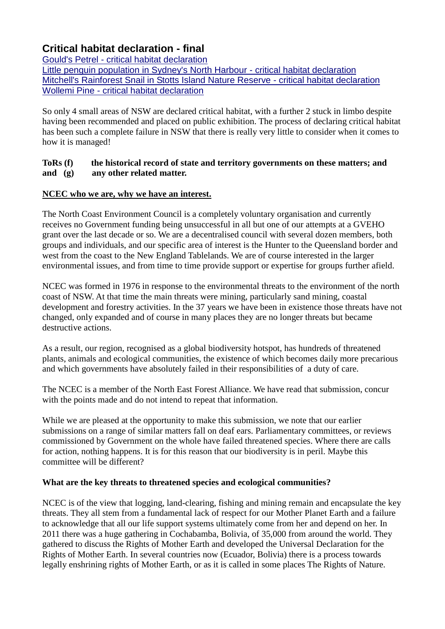# **Critical habitat declaration - final**

Gould's Petrel - [critical habitat declaration](http://www.environment.nsw.gov.au/resources/nature/GouldsPetrelCriticalHabitatSmall.pdf)

[Little penguin population in Sydney's North Harbour -](http://www.environment.nsw.gov.au/criticalhabitat/LittlePenguinNorthHarbourCriticalHabitatDec.htm) critical habitat declaration [Mitchell's Rainforest Snail in Stotts Island Nature Reserve -](http://www.environment.nsw.gov.au/criticalhabitat/MitchellsRainforestSnail.htm) critical habitat declaration Wollemi Pine - [critical habitat declaration](http://www.environment.nsw.gov.au/resources/nature/wollemiCriticalHabitatDetermination.pdf)

So only 4 small areas of NSW are declared critical habitat, with a further 2 stuck in limbo despite having been recommended and placed on public exhibition. The process of declaring critical habitat has been such a complete failure in NSW that there is really very little to consider when it comes to how it is managed!

## **ToRs (f) the historical record of state and territory governments on these matters; and and (g) any other related matter.**

# **NCEC who we are, why we have an interest.**

The North Coast Environment Council is a completely voluntary organisation and currently receives no Government funding being unsuccessful in all but one of our attempts at a GVEHO grant over the last decade or so. We are a decentralised council with several dozen members, both groups and individuals, and our specific area of interest is the Hunter to the Queensland border and west from the coast to the New England Tablelands. We are of course interested in the larger environmental issues, and from time to time provide support or expertise for groups further afield.

NCEC was formed in 1976 in response to the environmental threats to the environment of the north coast of NSW. At that time the main threats were mining, particularly sand mining, coastal development and forestry activities. In the 37 years we have been in existence those threats have not changed, only expanded and of course in many places they are no longer threats but became destructive actions.

As a result, our region, recognised as a global biodiversity hotspot, has hundreds of threatened plants, animals and ecological communities, the existence of which becomes daily more precarious and which governments have absolutely failed in their responsibilities of a duty of care.

The NCEC is a member of the North East Forest Alliance. We have read that submission, concur with the points made and do not intend to repeat that information.

While we are pleased at the opportunity to make this submission, we note that our earlier submissions on a range of similar matters fall on deaf ears. Parliamentary committees, or reviews commissioned by Government on the whole have failed threatened species. Where there are calls for action, nothing happens. It is for this reason that our biodiversity is in peril. Maybe this committee will be different?

# **What are the key threats to threatened species and ecological communities?**

NCEC is of the view that logging, land-clearing, fishing and mining remain and encapsulate the key threats. They all stem from a fundamental lack of respect for our Mother Planet Earth and a failure to acknowledge that all our life support systems ultimately come from her and depend on her. In 2011 there was a huge gathering in Cochabamba, Bolivia, of 35,000 from around the world. They gathered to discuss the Rights of Mother Earth and developed the Universal Declaration for the Rights of Mother Earth. In several countries now (Ecuador, Bolivia) there is a process towards legally enshrining rights of Mother Earth, or as it is called in some places The Rights of Nature.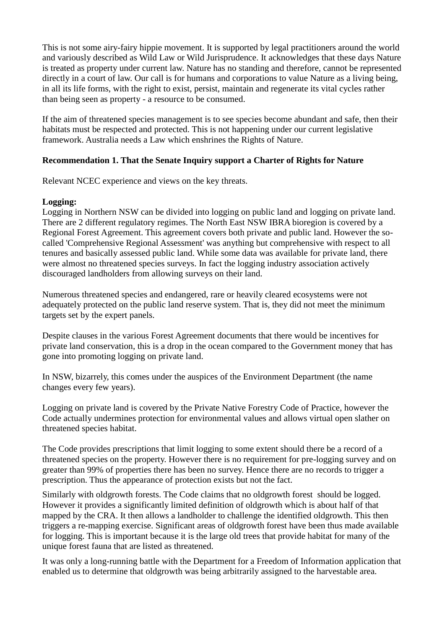This is not some airy-fairy hippie movement. It is supported by legal practitioners around the world and variously described as Wild Law or Wild Jurisprudence. It acknowledges that these days Nature is treated as property under current law. Nature has no standing and therefore, cannot be represented directly in a court of law. Our call is for humans and corporations to value Nature as a living being, in all its life forms, with the right to exist, persist, maintain and regenerate its vital cycles rather than being seen as property - a resource to be consumed.

If the aim of threatened species management is to see species become abundant and safe, then their habitats must be respected and protected. This is not happening under our current legislative framework. Australia needs a Law which enshrines the Rights of Nature.

## **Recommendation 1. That the Senate Inquiry support a Charter of Rights for Nature**

Relevant NCEC experience and views on the key threats.

#### **Logging:**

Logging in Northern NSW can be divided into logging on public land and logging on private land. There are 2 different regulatory regimes. The North East NSW IBRA bioregion is covered by a Regional Forest Agreement. This agreement covers both private and public land. However the socalled 'Comprehensive Regional Assessment' was anything but comprehensive with respect to all tenures and basically assessed public land. While some data was available for private land, there were almost no threatened species surveys. In fact the logging industry association actively discouraged landholders from allowing surveys on their land.

Numerous threatened species and endangered, rare or heavily cleared ecosystems were not adequately protected on the public land reserve system. That is, they did not meet the minimum targets set by the expert panels.

Despite clauses in the various Forest Agreement documents that there would be incentives for private land conservation, this is a drop in the ocean compared to the Government money that has gone into promoting logging on private land.

In NSW, bizarrely, this comes under the auspices of the Environment Department (the name changes every few years).

Logging on private land is covered by the Private Native Forestry Code of Practice, however the Code actually undermines protection for environmental values and allows virtual open slather on threatened species habitat.

The Code provides prescriptions that limit logging to some extent should there be a record of a threatened species on the property. However there is no requirement for pre-logging survey and on greater than 99% of properties there has been no survey. Hence there are no records to trigger a prescription. Thus the appearance of protection exists but not the fact.

Similarly with oldgrowth forests. The Code claims that no oldgrowth forest should be logged. However it provides a significantly limited definition of oldgrowth which is about half of that mapped by the CRA. It then allows a landholder to challenge the identified oldgrowth. This then triggers a re-mapping exercise. Significant areas of oldgrowth forest have been thus made available for logging. This is important because it is the large old trees that provide habitat for many of the unique forest fauna that are listed as threatened.

It was only a long-running battle with the Department for a Freedom of Information application that enabled us to determine that oldgrowth was being arbitrarily assigned to the harvestable area.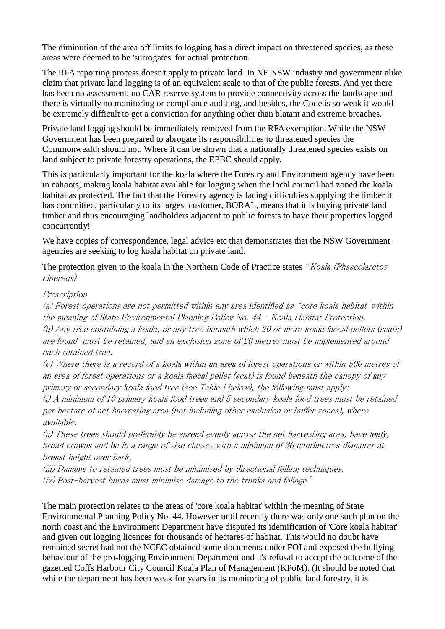The diminution of the area off limits to logging has a direct impact on threatened species, as these areas were deemed to be 'surrogates' for actual protection.

The RFA reporting process doesn't apply to private land. In NE NSW industry and government alike claim that private land logging is of an equivalent scale to that of the public forests. And yet there has been no assessment, no CAR reserve system to provide connectivity across the landscape and there is virtually no monitoring or compliance auditing, and besides, the Code is so weak it would be extremely difficult to get a conviction for anything other than blatant and extreme breaches.

Private land logging should be immediately removed from the RFA exemption. While the NSW Government has been prepared to abrogate its responsibilities to threatened species the Commonwealth should not. Where it can be shown that a nationally threatened species exists on land subject to private forestry operations, the EPBC should apply.

This is particularly important for the koala where the Forestry and Environment agency have been in cahoots, making koala habitat available for logging when the local council had zoned the koala habitat as protected. The fact that the Forestry agency is facing difficulties supplying the timber it has committed, particularly to its largest customer, BORAL, means that it is buying private land timber and thus encouraging landholders adjacent to public forests to have their properties logged concurrently!

We have copies of correspondence, legal advice etc that demonstrates that the NSW Government agencies are seeking to log koala habitat on private land.

The protection given to the koala in the Northern Code of Practice states *"Koala (Phascolarctos* cinereus)

#### Prescription

(a) Forest operations are not permitted within any area identified as 'core koala habitat'within the meaning of State Environmental Planning Policy No. 44 – Koala Habitat Protection. (b) Any tree containing a koala, or any tree beneath which 20 or more koala faecal pellets (scats) are found must be retained, and an exclusion zone of 20 metres must be implemented around each retained tree.

(c) Where there is a record of a koala within an area of forest operations or within 500 metres of an area of forest operations or a koala faecal pellet (scat) is found beneath the canopy of any primary or secondary koala food tree (see Table I below), the following must apply:

(i) A minimum of 10 primary koala food trees and 5 secondary koala food trees must be retained per hectare of net harvesting area (not including other exclusion or buffer zones), where available.

(ii) These trees should preferably be spread evenly across the net harvesting area, have leafy, broad crowns and be in a range of size classes with a minimum of 30 centimetres diameter at breast height over bark.

(iii) Damage to retained trees must be minimised by directional felling techniques. (iv) Post-harvest burns must minimise damage to the trunks and foliage"

The main protection relates to the areas of 'core koala habitat' within the meaning of State Environmental Planning Policy No. 44. However until recently there was only one such plan on the north coast and the Environment Department have disputed its identification of 'Core koala habitat' and given out logging licences for thousands of hectares of habitat. This would no doubt have remained secret had not the NCEC obtained some documents under FOI and exposed the bullying behaviour of the pro-logging Environment Department and it's refusal to accept the outcome of the gazetted Coffs Harbour City Council Koala Plan of Management (KPoM). (It should be noted that while the department has been weak for years in its monitoring of public land forestry, it is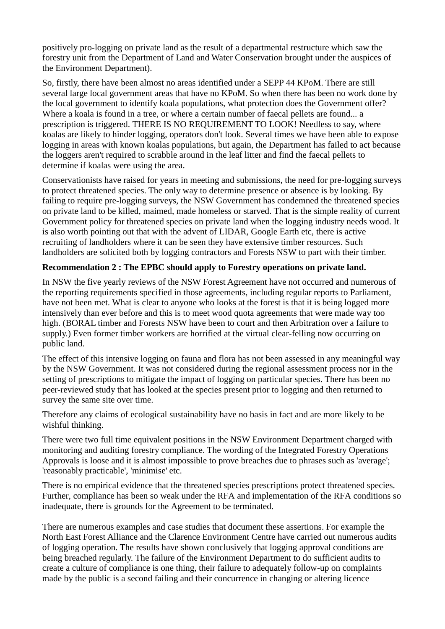positively pro-logging on private land as the result of a departmental restructure which saw the forestry unit from the Department of Land and Water Conservation brought under the auspices of the Environment Department).

So, firstly, there have been almost no areas identified under a SEPP 44 KPoM. There are still several large local government areas that have no KPoM. So when there has been no work done by the local government to identify koala populations, what protection does the Government offer? Where a koala is found in a tree, or where a certain number of faecal pellets are found... a prescription is triggered. THERE IS NO REQUIREMENT TO LOOK! Needless to say, where koalas are likely to hinder logging, operators don't look. Several times we have been able to expose logging in areas with known koalas populations, but again, the Department has failed to act because the loggers aren't required to scrabble around in the leaf litter and find the faecal pellets to determine if koalas were using the area.

Conservationists have raised for years in meeting and submissions, the need for pre-logging surveys to protect threatened species. The only way to determine presence or absence is by looking. By failing to require pre-logging surveys, the NSW Government has condemned the threatened species on private land to be killed, maimed, made homeless or starved. That is the simple reality of current Government policy for threatened species on private land when the logging industry needs wood. It is also worth pointing out that with the advent of LIDAR, Google Earth etc, there is active recruiting of landholders where it can be seen they have extensive timber resources. Such landholders are solicited both by logging contractors and Forests NSW to part with their timber.

#### **Recommendation 2 : The EPBC should apply to Forestry operations on private land.**

In NSW the five yearly reviews of the NSW Forest Agreement have not occurred and numerous of the reporting requirements specified in those agreements, including regular reports to Parliament, have not been met. What is clear to anyone who looks at the forest is that it is being logged more intensively than ever before and this is to meet wood quota agreements that were made way too high. (BORAL timber and Forests NSW have been to court and then Arbitration over a failure to supply.) Even former timber workers are horrified at the virtual clear-felling now occurring on public land.

The effect of this intensive logging on fauna and flora has not been assessed in any meaningful way by the NSW Government. It was not considered during the regional assessment process nor in the setting of prescriptions to mitigate the impact of logging on particular species. There has been no peer-reviewed study that has looked at the species present prior to logging and then returned to survey the same site over time.

Therefore any claims of ecological sustainability have no basis in fact and are more likely to be wishful thinking.

There were two full time equivalent positions in the NSW Environment Department charged with monitoring and auditing forestry compliance. The wording of the Integrated Forestry Operations Approvals is loose and it is almost impossible to prove breaches due to phrases such as 'average'; 'reasonably practicable', 'minimise' etc.

There is no empirical evidence that the threatened species prescriptions protect threatened species. Further, compliance has been so weak under the RFA and implementation of the RFA conditions so inadequate, there is grounds for the Agreement to be terminated.

There are numerous examples and case studies that document these assertions. For example the North East Forest Alliance and the Clarence Environment Centre have carried out numerous audits of logging operation. The results have shown conclusively that logging approval conditions are being breached regularly. The failure of the Environment Department to do sufficient audits to create a culture of compliance is one thing, their failure to adequately follow-up on complaints made by the public is a second failing and their concurrence in changing or altering licence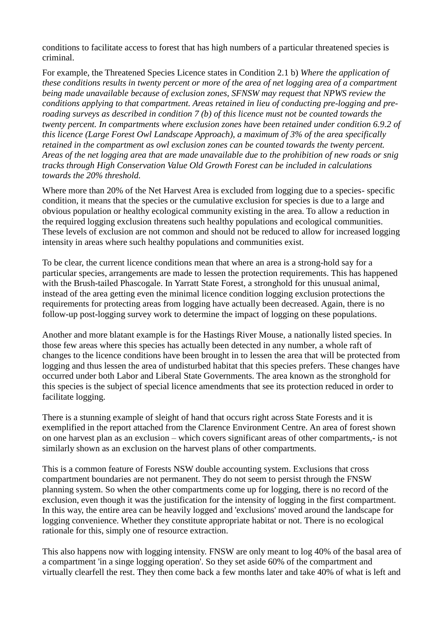conditions to facilitate access to forest that has high numbers of a particular threatened species is criminal.

For example, the Threatened Species Licence states in Condition 2.1 b) *Where the application of these conditions results in twenty percent or more of the area of net logging area of a compartment being made unavailable because of exclusion zones, SFNSW may request that NPWS review the conditions applying to that compartment. Areas retained in lieu of conducting pre-logging and preroading surveys as described in condition 7 (b) of this licence must not be counted towards the twenty percent. In compartments where exclusion zones have been retained under condition 6.9.2 of this licence (Large Forest Owl Landscape Approach), a maximum of 3% of the area specifically retained in the compartment as owl exclusion zones can be counted towards the twenty percent. Areas of the net logging area that are made unavailable due to the prohibition of new roads or snig tracks through High Conservation Value Old Growth Forest can be included in calculations towards the 20% threshold.*

Where more than 20% of the Net Harvest Area is excluded from logging due to a species- specific condition, it means that the species or the cumulative exclusion for species is due to a large and obvious population or healthy ecological community existing in the area. To allow a reduction in the required logging exclusion threatens such healthy populations and ecological communities. These levels of exclusion are not common and should not be reduced to allow for increased logging intensity in areas where such healthy populations and communities exist.

To be clear, the current licence conditions mean that where an area is a strong-hold say for a particular species, arrangements are made to lessen the protection requirements. This has happened with the Brush-tailed Phascogale. In Yarratt State Forest, a stronghold for this unusual animal, instead of the area getting even the minimal licence condition logging exclusion protections the requirements for protecting areas from logging have actually been decreased. Again, there is no follow-up post-logging survey work to determine the impact of logging on these populations.

Another and more blatant example is for the Hastings River Mouse, a nationally listed species. In those few areas where this species has actually been detected in any number, a whole raft of changes to the licence conditions have been brought in to lessen the area that will be protected from logging and thus lessen the area of undisturbed habitat that this species prefers. These changes have occurred under both Labor and Liberal State Governments. The area known as the stronghold for this species is the subject of special licence amendments that see its protection reduced in order to facilitate logging.

There is a stunning example of sleight of hand that occurs right across State Forests and it is exemplified in the report attached from the Clarence Environment Centre. An area of forest shown on one harvest plan as an exclusion – which covers significant areas of other compartments,- is not similarly shown as an exclusion on the harvest plans of other compartments.

This is a common feature of Forests NSW double accounting system. Exclusions that cross compartment boundaries are not permanent. They do not seem to persist through the FNSW planning system. So when the other compartments come up for logging, there is no record of the exclusion, even though it was the justification for the intensity of logging in the first compartment. In this way, the entire area can be heavily logged and 'exclusions' moved around the landscape for logging convenience. Whether they constitute appropriate habitat or not. There is no ecological rationale for this, simply one of resource extraction.

This also happens now with logging intensity. FNSW are only meant to log 40% of the basal area of a compartment 'in a singe logging operation'. So they set aside 60% of the compartment and virtually clearfell the rest. They then come back a few months later and take 40% of what is left and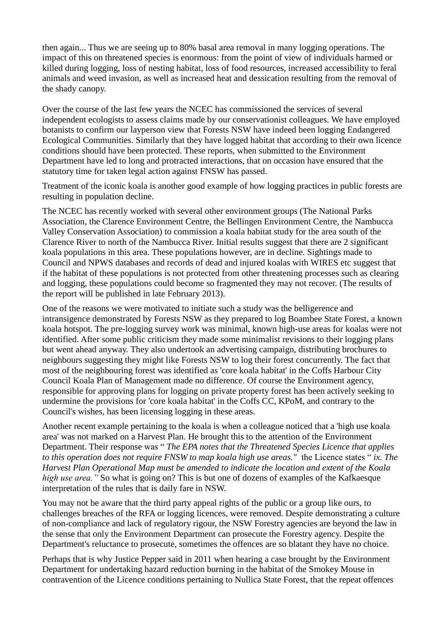then again... Thus we are seeing up to 80% basal area removal in many logging operations. The impact of this on threatened species is enormous: from the point of view of individuals harmed or killed during logging, loss of nesting habitat, loss of food resources, increased accessibility to feral animals and weed invasion, as well as increased heat and dessication resulting from the removal of the shady canopy.

Over the course of the last few years the NCEC has commissioned the services of several independent ecologists to assess claims made by our conservationist colleagues. We have employed botanists to confirm our layperson view that Forests NSW have indeed been logging Endangered Ecological Communities. Similarly that they have logged habitat that according to their own licence conditions should have been protected. These reports, when submitted to the Environment Department have led to long and protracted interactions, that on occasion have ensured that the statutory time for taken legal action against FNSW has passed.

Treatment of the iconic koala is another good example of how logging practices in public forests are resulting in population decline.

The NCEC has recently worked with several other environment groups (The National Parks Association, the Clarence Environment Centre, the Bellingen Environment Centre, the Nambucca Valley Conservation Association) to commission a koala habitat study for the area south of the Clarence River to north of the Nambucca River. Initial results suggest that there are 2 significant koala populations in this area. These populations however, are in decline. Sightings made to Council and NPWS databases and records of dead and injured koalas with WIRES etc suggest that if the habitat of these populations is not protected from other threatening processes such as clearing and logging, these populations could become so fragmented they may not recover. (The results of the report will be published in late February 2013).

One of the reasons we were motivated to initiate such a study was the belligerence and intransigence demonstrated by Forests NSW as they prepared to log Boambee State Forest, a known koala hotspot. The pre-logging survey work was minimal, known high-use areas for koalas were not identified. After some public criticism they made some minimalist revisions to their logging plans but went ahead anyway. They also undertook an advertising campaign, distributing brochures to neighbours suggesting they might like Forests NSW to log their forest concurrently. The fact that most of the neighbouring forest was identified as 'core koala habitat' in the Coffs Harbour City Council Koala Plan of Management made no difference. Of course the Environment agency, responsible for approving plans for logging on private property forest has been actively seeking to undermine the provisions for 'core koala habitat' in the Coffs CC, KPoM, and contrary to the Council's wishes, has been licensing logging in these areas.

Another recent example pertaining to the koala is when a colleague noticed that a 'high use koala area' was not marked on a Harvest Plan. He brought this to the attention of the Environment Department. Their response was " *The EPA notes that the Threatened Species Licence that applies to this operation does not require FNSW to map koala high use areas."* the Licence states " *ix. The Harvest Plan Operational Map must be amended to indicate the location and extent of the Koala high use area."* So what is going on? This is but one of dozens of examples of the Kafkaesque interpretation of the rules that is daily fare in NSW.

You may not be aware that the third party appeal rights of the public or a group like ours, to challenges breaches of the RFA or logging licences, were removed. Despite demonstrating a culture of non-compliance and lack of regulatory rigour, the NSW Forestry agencies are beyond the law in the sense that only the Environment Department can prosecute the Forestry agency. Despite the Department's reluctance to prosecute, sometimes the offences are so blatant they have no choice.

Perhaps that is why Justice Pepper said in 2011 when hearing a case brought by the Environment Department for undertaking hazard reduction burning in the habitat of the Smokey Mouse in contravention of the Licence conditions pertaining to Nullica State Forest, that the repeat offences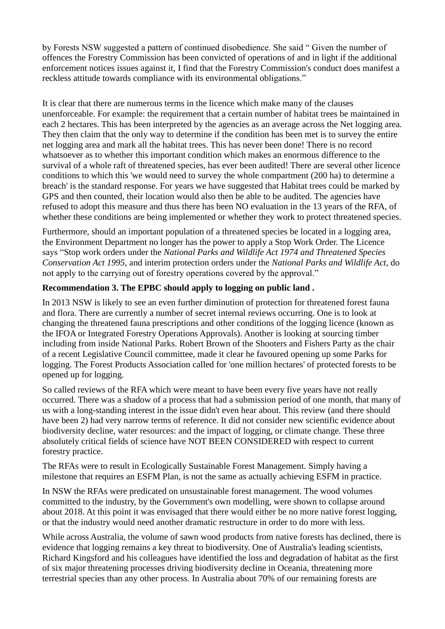by Forests NSW suggested a pattern of continued disobedience. She said " Given the number of offences the Forestry Commission has been convicted of operations of and in light if the additional enforcement notices issues against it, I find that the Forestry Commission's conduct does manifest a reckless attitude towards compliance with its environmental obligations."

It is clear that there are numerous terms in the licence which make many of the clauses unenforceable. For example: the requirement that a certain number of habitat trees be maintained in each 2 hectares. This has been interpreted by the agencies as an average across the Net logging area. They then claim that the only way to determine if the condition has been met is to survey the entire net logging area and mark all the habitat trees. This has never been done! There is no record whatsoever as to whether this important condition which makes an enormous difference to the survival of a whole raft of threatened species, has ever been audited! There are several other licence conditions to which this 'we would need to survey the whole compartment (200 ha) to determine a breach' is the standard response. For years we have suggested that Habitat trees could be marked by GPS and then counted, their location would also then be able to be audited. The agencies have refused to adopt this measure and thus there has been NO evaluation in the 13 years of the RFA, of whether these conditions are being implemented or whether they work to protect threatened species.

Furthermore, should an important population of a threatened species be located in a logging area, the Environment Department no longer has the power to apply a Stop Work Order. The Licence says "Stop work orders under the *National Parks and Wildlife Act 1974 and Threatened Species Conservation Act 1995*, and interim protection orders under the *National Parks and Wildlife Act*, do not apply to the carrying out of forestry operations covered by the approval."

## **Recommendation 3. The EPBC should apply to logging on public land .**

In 2013 NSW is likely to see an even further diminution of protection for threatened forest fauna and flora. There are currently a number of secret internal reviews occurring. One is to look at changing the threatened fauna prescriptions and other conditions of the logging licence (known as the IFOA or Integrated Forestry Operations Approvals). Another is looking at sourcing timber including from inside National Parks. Robert Brown of the Shooters and Fishers Party as the chair of a recent Legislative Council committee, made it clear he favoured opening up some Parks for logging. The Forest Products Association called for 'one million hectares' of protected forests to be opened up for logging.

So called reviews of the RFA which were meant to have been every five years have not really occurred. There was a shadow of a process that had a submission period of one month, that many of us with a long-standing interest in the issue didn't even hear about. This review (and there should have been 2) had very narrow terms of reference. It did not consider new scientific evidence about biodiversity decline, water resources: and the impact of logging, or climate change. These three absolutely critical fields of science have NOT BEEN CONSIDERED with respect to current forestry practice.

The RFAs were to result in Ecologically Sustainable Forest Management. Simply having a milestone that requires an ESFM Plan, is not the same as actually achieving ESFM in practice.

In NSW the RFAs were predicated on unsustainable forest management. The wood volumes committed to the industry, by the Government's own modelling, were shown to collapse around about 2018. At this point it was envisaged that there would either be no more native forest logging, or that the industry would need another dramatic restructure in order to do more with less.

While across Australia, the volume of sawn wood products from native forests has declined, there is evidence that logging remains a key threat to biodiversity. One of Australia's leading scientists, Richard Kingsford and his colleagues have identified the loss and degradation of habitat as the first of six major threatening processes driving biodiversity decline in Oceania, threatening more terrestrial species than any other process. In Australia about 70% of our remaining forests are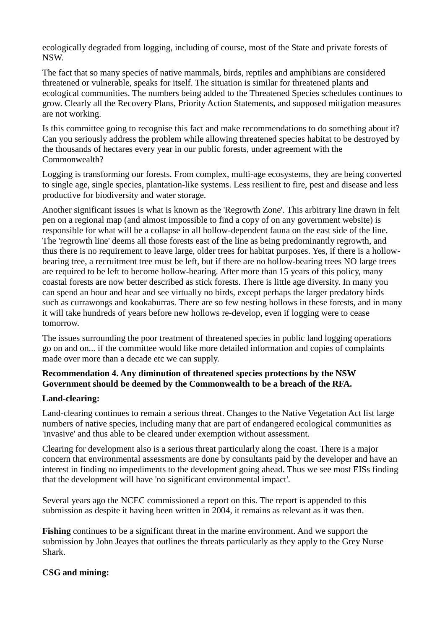ecologically degraded from logging, including of course, most of the State and private forests of NSW.

The fact that so many species of native mammals, birds, reptiles and amphibians are considered threatened or vulnerable, speaks for itself. The situation is similar for threatened plants and ecological communities. The numbers being added to the Threatened Species schedules continues to grow. Clearly all the Recovery Plans, Priority Action Statements, and supposed mitigation measures are not working.

Is this committee going to recognise this fact and make recommendations to do something about it? Can you seriously address the problem while allowing threatened species habitat to be destroyed by the thousands of hectares every year in our public forests, under agreement with the Commonwealth?

Logging is transforming our forests. From complex, multi-age ecosystems, they are being converted to single age, single species, plantation-like systems. Less resilient to fire, pest and disease and less productive for biodiversity and water storage.

Another significant issues is what is known as the 'Regrowth Zone'. This arbitrary line drawn in felt pen on a regional map (and almost impossible to find a copy of on any government website) is responsible for what will be a collapse in all hollow-dependent fauna on the east side of the line. The 'regrowth line' deems all those forests east of the line as being predominantly regrowth, and thus there is no requirement to leave large, older trees for habitat purposes. Yes, if there is a hollowbearing tree, a recruitment tree must be left, but if there are no hollow-bearing trees NO large trees are required to be left to become hollow-bearing. After more than 15 years of this policy, many coastal forests are now better described as stick forests. There is little age diversity. In many you can spend an hour and hear and see virtually no birds, except perhaps the larger predatory birds such as currawongs and kookaburras. There are so few nesting hollows in these forests, and in many it will take hundreds of years before new hollows re-develop, even if logging were to cease tomorrow.

The issues surrounding the poor treatment of threatened species in public land logging operations go on and on... if the committee would like more detailed information and copies of complaints made over more than a decade etc we can supply.

# **Recommendation 4. Any diminution of threatened species protections by the NSW Government should be deemed by the Commonwealth to be a breach of the RFA.**

## **Land-clearing:**

Land-clearing continues to remain a serious threat. Changes to the Native Vegetation Act list large numbers of native species, including many that are part of endangered ecological communities as 'invasive' and thus able to be cleared under exemption without assessment.

Clearing for development also is a serious threat particularly along the coast. There is a major concern that environmental assessments are done by consultants paid by the developer and have an interest in finding no impediments to the development going ahead. Thus we see most EISs finding that the development will have 'no significant environmental impact'.

Several years ago the NCEC commissioned a report on this. The report is appended to this submission as despite it having been written in 2004, it remains as relevant as it was then.

**Fishing** continues to be a significant threat in the marine environment. And we support the submission by John Jeayes that outlines the threats particularly as they apply to the Grey Nurse Shark.

## **CSG and mining:**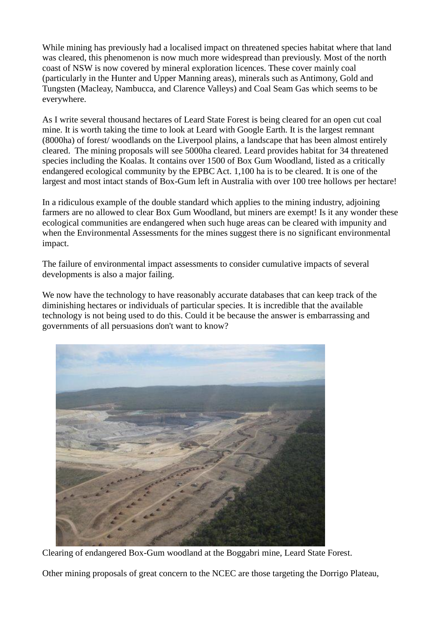While mining has previously had a localised impact on threatened species habitat where that land was cleared, this phenomenon is now much more widespread than previously. Most of the north coast of NSW is now covered by mineral exploration licences. These cover mainly coal (particularly in the Hunter and Upper Manning areas), minerals such as Antimony, Gold and Tungsten (Macleay, Nambucca, and Clarence Valleys) and Coal Seam Gas which seems to be everywhere.

As I write several thousand hectares of Leard State Forest is being cleared for an open cut coal mine. It is worth taking the time to look at Leard with Google Earth. It is the largest remnant (8000ha) of forest/ woodlands on the Liverpool plains, a landscape that has been almost entirely cleared. The mining proposals will see 5000ha cleared. Leard provides habitat for 34 threatened species including the Koalas. It contains over 1500 of Box Gum Woodland, listed as a critically endangered ecological community by the EPBC Act. 1,100 ha is to be cleared. It is one of the largest and most intact stands of Box-Gum left in Australia with over 100 tree hollows per hectare!

In a ridiculous example of the double standard which applies to the mining industry, adjoining farmers are no allowed to clear Box Gum Woodland, but miners are exempt! Is it any wonder these ecological communities are endangered when such huge areas can be cleared with impunity and when the Environmental Assessments for the mines suggest there is no significant environmental impact.

The failure of environmental impact assessments to consider cumulative impacts of several developments is also a major failing.

We now have the technology to have reasonably accurate databases that can keep track of the diminishing hectares or individuals of particular species. It is incredible that the available technology is not being used to do this. Could it be because the answer is embarrassing and governments of all persuasions don't want to know?



Clearing of endangered Box-Gum woodland at the Boggabri mine, Leard State Forest.

Other mining proposals of great concern to the NCEC are those targeting the Dorrigo Plateau,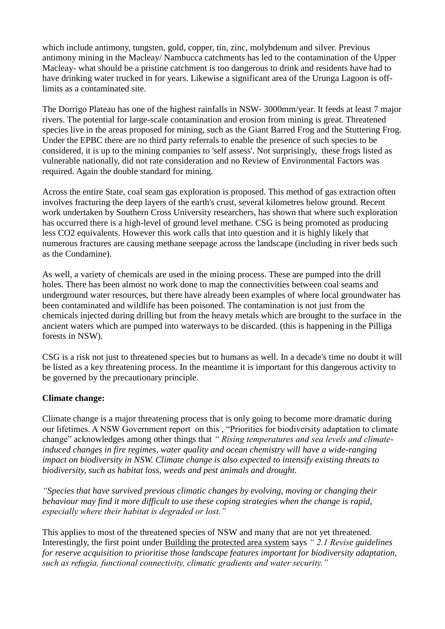which include antimony, tungsten, gold, copper, tin, zinc, molybdenum and silver. Previous antimony mining in the Macleay/ Nambucca catchments has led to the contamination of the Upper Macleay- what should be a pristine catchment is too dangerous to drink and residents have had to have drinking water trucked in for years. Likewise a significant area of the Urunga Lagoon is offlimits as a contaminated site.

The Dorrigo Plateau has one of the highest rainfalls in NSW- 3000mm/year. It feeds at least 7 major rivers. The potential for large-scale contamination and erosion from mining is great. Threatened species live in the areas proposed for mining, such as the Giant Barred Frog and the Stuttering Frog. Under the EPBC there are no third party referrals to enable the presence of such species to be considered, it is up to the mining companies to 'self assess'. Not surprisingly, these frogs listed as vulnerable nationally, did not rate consideration and no Review of Environmental Factors was required. Again the double standard for mining.

Across the entire State, coal seam gas exploration is proposed. This method of gas extraction often involves fracturing the deep layers of the earth's crust, several kilometres below ground. Recent work undertaken by Southern Cross University researchers, has shown that where such exploration has occurred there is a high-level of ground level methane. CSG is being promoted as producing less CO2 equivalents. However this work calls that into question and it is highly likely that numerous fractures are causing methane seepage across the landscape (including in river beds such as the Condamine).

As well, a variety of chemicals are used in the mining process. These are pumped into the drill holes. There has been almost no work done to map the connectivities between coal seams and underground water resources, but there have already been examples of where local groundwater has been contaminated and wildlife has been poisoned. The contamination is not just from the chemicals injected during drilling but from the heavy metals which are brought to the surface in the ancient waters which are pumped into waterways to be discarded. (this is happening in the Pilliga forests in NSW).

CSG is a risk not just to threatened species but to humans as well. In a decade's time no doubt it will be listed as a key threatening process. In the meantime it is important for this dangerous activity to be governed by the precautionary principle.

## **Climate change:**

Climate change is a major threatening process that is only going to become more dramatic during our lifetimes. A NSW Government report on this , "Priorities for biodiversity adaptation to climate change" acknowledges among other things that *" Rising temperatures and sea levels and climateinduced changes in fire regimes, water quality and ocean chemistry will have a wide-ranging impact on biodiversity in NSW. Climate change is also expected to intensify existing threats to biodiversity, such as habitat loss, weeds and pest animals and drought.*

*"Species that have survived previous climatic changes by evolving, moving or changing their behaviour may find it more difficult to use these coping strategies when the change is rapid, especially where their habitat is degraded or lost."*

This applies to most of the threatened species of NSW and many that are not yet threatened. Interestingly, the first point under Building the protected area system says *" 2.1 Revise guidelines for reserve acquisition to prioritise those landscape features important for biodiversity adaptation, such as refugia, functional connectivity, climatic gradients and water security."*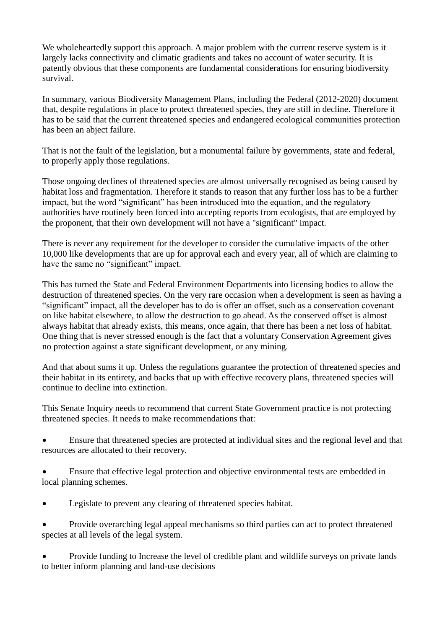We wholeheartedly support this approach. A major problem with the current reserve system is it largely lacks connectivity and climatic gradients and takes no account of water security. It is patently obvious that these components are fundamental considerations for ensuring biodiversity survival.

In summary, various Biodiversity Management Plans, including the Federal (2012-2020) document that, despite regulations in place to protect threatened species, they are still in decline. Therefore it has to be said that the current threatened species and endangered ecological communities protection has been an abject failure.

That is not the fault of the legislation, but a monumental failure by governments, state and federal, to properly apply those regulations.

Those ongoing declines of threatened species are almost universally recognised as being caused by habitat loss and fragmentation. Therefore it stands to reason that any further loss has to be a further impact, but the word "significant" has been introduced into the equation, and the regulatory authorities have routinely been forced into accepting reports from ecologists, that are employed by the proponent, that their own development will not have a "significant" impact.

There is never any requirement for the developer to consider the cumulative impacts of the other 10,000 like developments that are up for approval each and every year, all of which are claiming to have the same no "significant" impact.

This has turned the State and Federal Environment Departments into licensing bodies to allow the destruction of threatened species. On the very rare occasion when a development is seen as having a "significant" impact, all the developer has to do is offer an offset, such as a conservation covenant on like habitat elsewhere, to allow the destruction to go ahead. As the conserved offset is almost always habitat that already exists, this means, once again, that there has been a net loss of habitat. One thing that is never stressed enough is the fact that a voluntary Conservation Agreement gives no protection against a state significant development, or any mining.

And that about sums it up. Unless the regulations guarantee the protection of threatened species and their habitat in its entirety, and backs that up with effective recovery plans, threatened species will continue to decline into extinction.

This Senate Inquiry needs to recommend that current State Government practice is not protecting threatened species. It needs to make recommendations that:

 Ensure that threatened species are protected at individual sites and the regional level and that resources are allocated to their recovery.

 Ensure that effective legal protection and objective environmental tests are embedded in local planning schemes.

Legislate to prevent any clearing of threatened species habitat.

 Provide overarching legal appeal mechanisms so third parties can act to protect threatened species at all levels of the legal system.

 Provide funding to Increase the level of credible plant and wildlife surveys on private lands to better inform planning and land-use decisions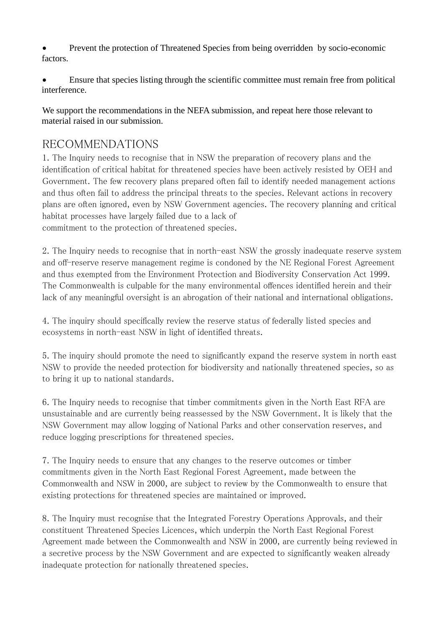Prevent the protection of Threatened Species from being overridden by socio-economic factors.

 Ensure that species listing through the scientific committee must remain free from political interference.

We support the recommendations in the NEFA submission, and repeat here those relevant to material raised in our submission.

# RECOMMENDATIONS

1. The Inquiry needs to recognise that in NSW the preparation of recovery plans and the identification of critical habitat for threatened species have been actively resisted by OEH and Government. The few recovery plans prepared often fail to identify needed management actions and thus often fail to address the principal threats to the species. Relevant actions in recovery plans are often ignored, even by NSW Government agencies. The recovery planning and critical habitat processes have largely failed due to a lack of commitment to the protection of threatened species.

2. The Inquiry needs to recognise that in north-east NSW the grossly inadequate reserve system and off-reserve reserve management regime is condoned by the NE Regional Forest Agreement and thus exempted from the Environment Protection and Biodiversity Conservation Act 1999. The Commonwealth is culpable for the many environmental offences identified herein and their lack of any meaningful oversight is an abrogation of their national and international obligations.

4. The inquiry should specifically review the reserve status of federally listed species and ecosystems in north-east NSW in light of identified threats.

5. The inquiry should promote the need to significantly expand the reserve system in north east NSW to provide the needed protection for biodiversity and nationally threatened species, so as to bring it up to national standards.

6. The Inquiry needs to recognise that timber commitments given in the North East RFA are unsustainable and are currently being reassessed by the NSW Government. It is likely that the NSW Government may allow logging of National Parks and other conservation reserves, and reduce logging prescriptions for threatened species.

7. The Inquiry needs to ensure that any changes to the reserve outcomes or timber commitments given in the North East Regional Forest Agreement, made between the Commonwealth and NSW in 2000, are subject to review by the Commonwealth to ensure that existing protections for threatened species are maintained or improved.

8. The Inquiry must recognise that the Integrated Forestry Operations Approvals, and their constituent Threatened Species Licences, which underpin the North East Regional Forest Agreement made between the Commonwealth and NSW in 2000, are currently being reviewed in a secretive process by the NSW Government and are expected to significantly weaken already inadequate protection for nationally threatened species.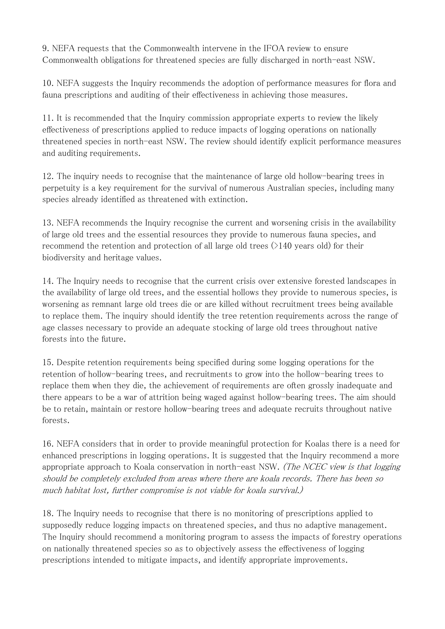9. NEFA requests that the Commonwealth intervene in the IFOA review to ensure Commonwealth obligations for threatened species are fully discharged in north-east NSW.

10. NEFA suggests the Inquiry recommends the adoption of performance measures for flora and fauna prescriptions and auditing of their effectiveness in achieving those measures.

11. It is recommended that the Inquiry commission appropriate experts to review the likely effectiveness of prescriptions applied to reduce impacts of logging operations on nationally threatened species in north-east NSW. The review should identify explicit performance measures and auditing requirements.

12. The inquiry needs to recognise that the maintenance of large old hollow-bearing trees in perpetuity is a key requirement for the survival of numerous Australian species, including many species already identified as threatened with extinction.

13. NEFA recommends the Inquiry recognise the current and worsening crisis in the availability of large old trees and the essential resources they provide to numerous fauna species, and recommend the retention and protection of all large old trees (>140 years old) for their biodiversity and heritage values.

14. The Inquiry needs to recognise that the current crisis over extensive forested landscapes in the availability of large old trees, and the essential hollows they provide to numerous species, is worsening as remnant large old trees die or are killed without recruitment trees being available to replace them. The inquiry should identify the tree retention requirements across the range of age classes necessary to provide an adequate stocking of large old trees throughout native forests into the future.

15. Despite retention requirements being specified during some logging operations for the retention of hollow-bearing trees, and recruitments to grow into the hollow-bearing trees to replace them when they die, the achievement of requirements are often grossly inadequate and there appears to be a war of attrition being waged against hollow-bearing trees. The aim should be to retain, maintain or restore hollow-bearing trees and adequate recruits throughout native forests.

16. NEFA considers that in order to provide meaningful protection for Koalas there is a need for enhanced prescriptions in logging operations. It is suggested that the Inquiry recommend a more appropriate approach to Koala conservation in north-east NSW. (The NCEC view is that logging should be completely excluded from areas where there are koala records. There has been so much habitat lost, further compromise is not viable for koala survival.)

18. The Inquiry needs to recognise that there is no monitoring of prescriptions applied to supposedly reduce logging impacts on threatened species, and thus no adaptive management. The Inquiry should recommend a monitoring program to assess the impacts of forestry operations on nationally threatened species so as to objectively assess the effectiveness of logging prescriptions intended to mitigate impacts, and identify appropriate improvements.